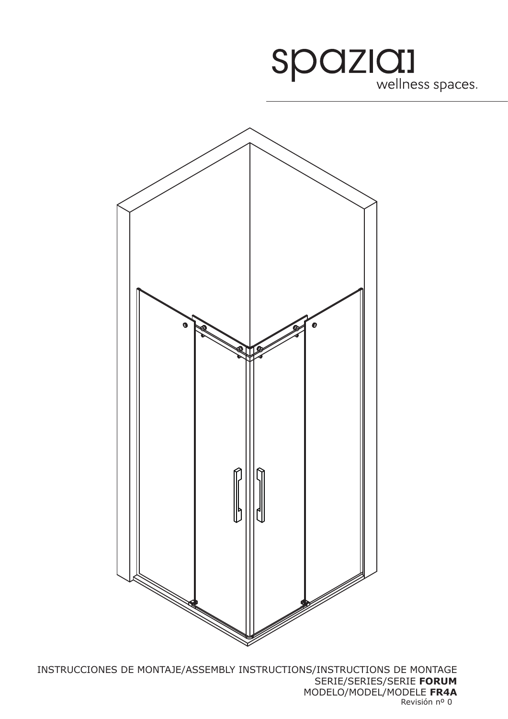



INSTRUCCIONES DE MONTAJE/ASSEMBLY INSTRUCTIONS/INSTRUCTIONS DE MONTAGE SERIE/SERIES/SERIE **FORUM** MODELO/MODEL/MODELE **FR4A** Revisión nº 0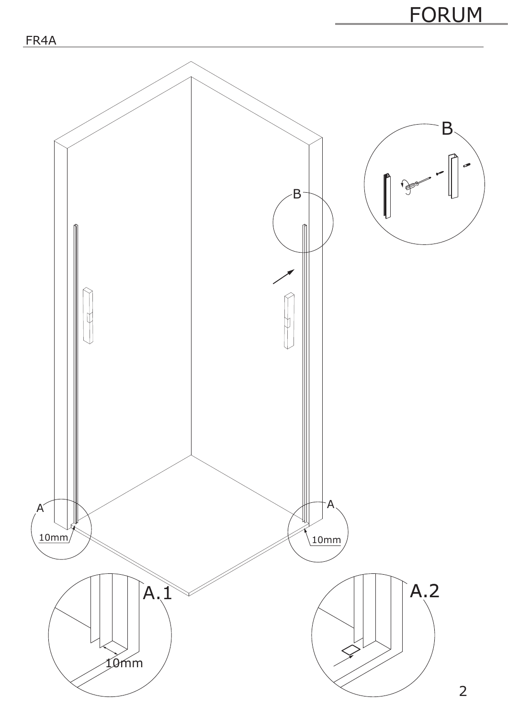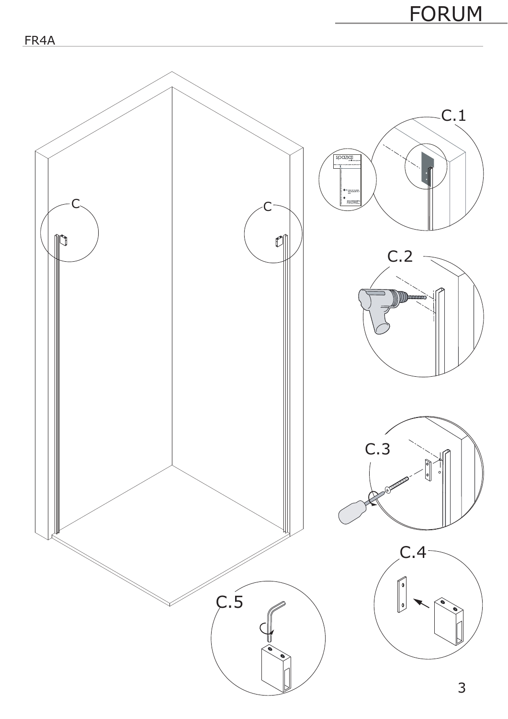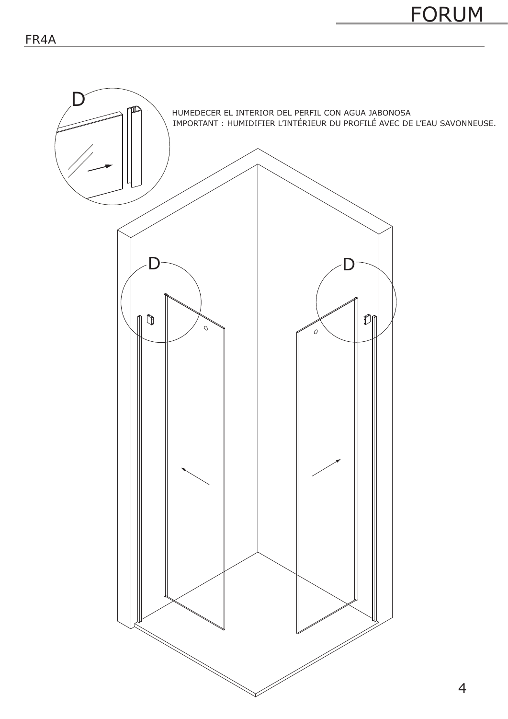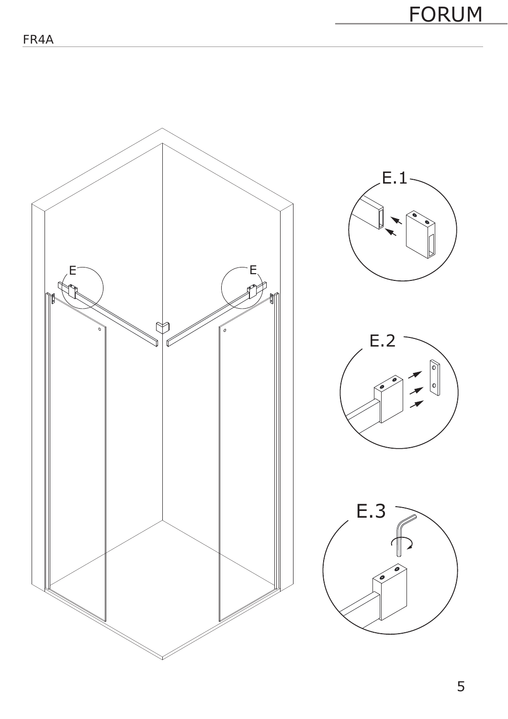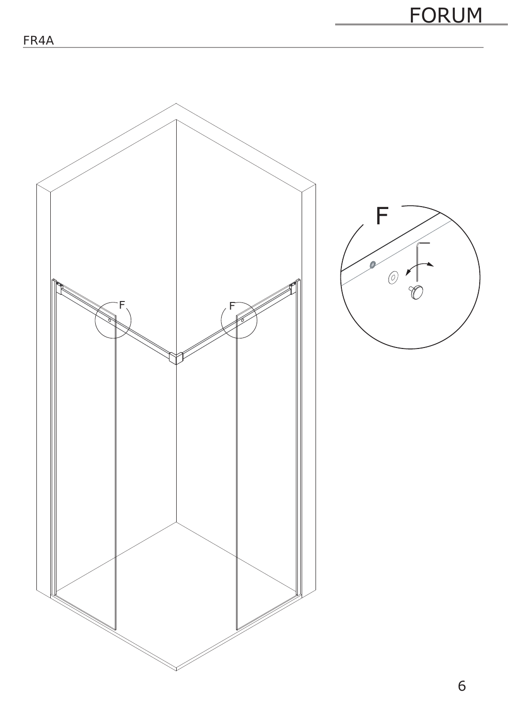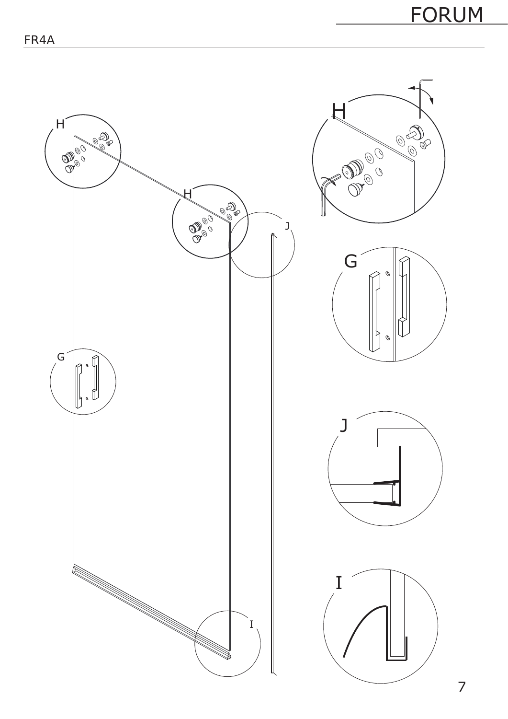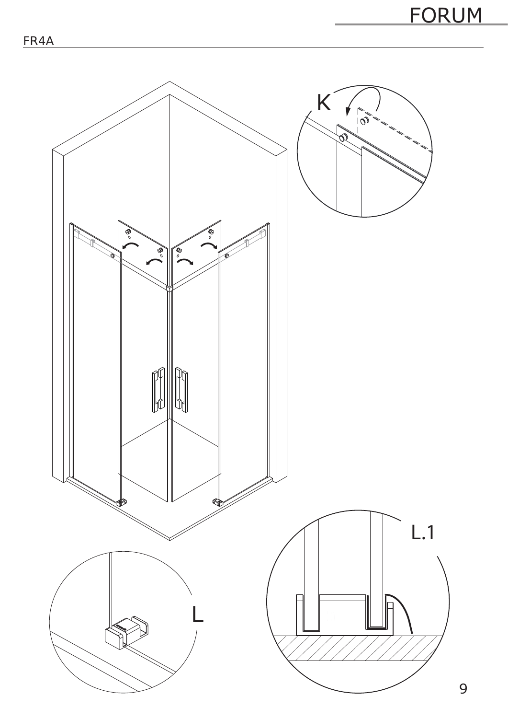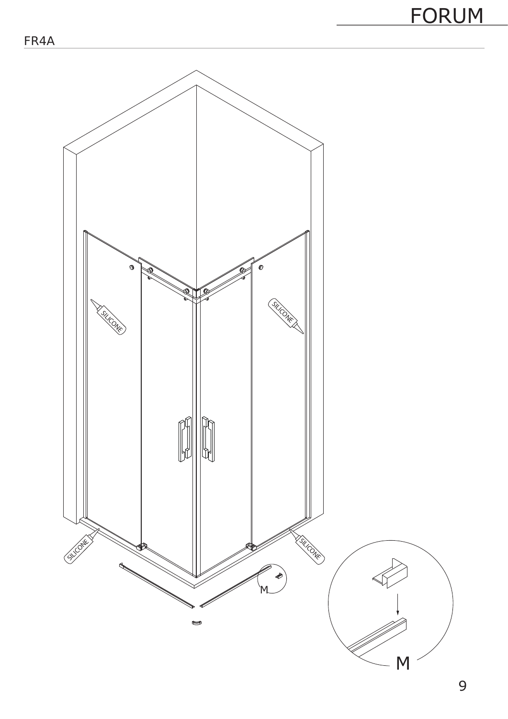